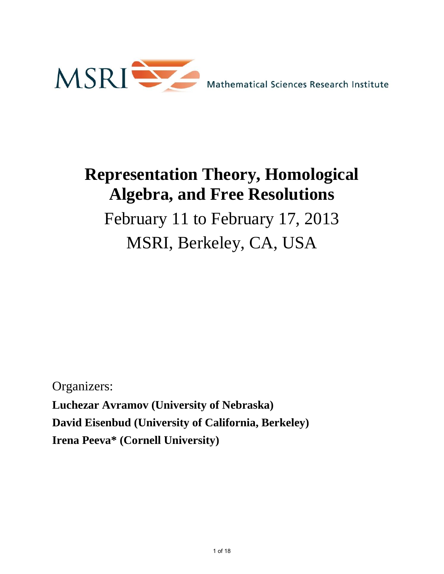

# **Representation Theory, Homological Algebra, and Free Resolutions**

February 11 to February 17, 2013 MSRI, Berkeley, CA, USA

Organizers:

**Luchezar Avramov (University of Nebraska) David Eisenbud (University of California, Berkeley) Irena Peeva\* (Cornell University)**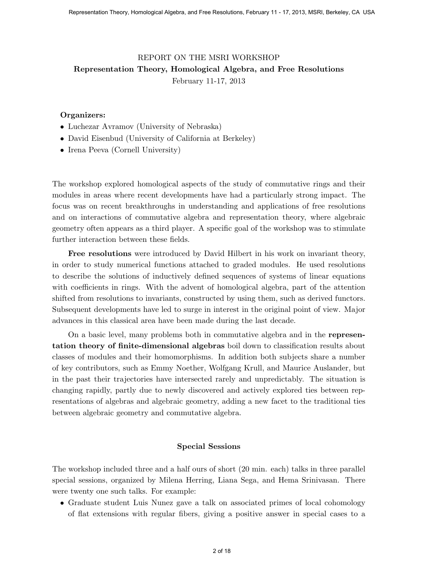#### REPORT ON THE MSRI WORKSHOP Representation Theory, Homological Algebra, and Free Resolutions February 11-17, 2013

#### Organizers:

- Luchezar Avramov (University of Nebraska)
- David Eisenbud (University of California at Berkeley)
- Irena Peeva (Cornell University)

The workshop explored homological aspects of the study of commutative rings and their modules in areas where recent developments have had a particularly strong impact. The focus was on recent breakthroughs in understanding and applications of free resolutions and on interactions of commutative algebra and representation theory, where algebraic geometry often appears as a third player. A specific goal of the workshop was to stimulate further interaction between these fields.

Free resolutions were introduced by David Hilbert in his work on invariant theory, in order to study numerical functions attached to graded modules. He used resolutions to describe the solutions of inductively defined sequences of systems of linear equations with coefficients in rings. With the advent of homological algebra, part of the attention shifted from resolutions to invariants, constructed by using them, such as derived functors. Subsequent developments have led to surge in interest in the original point of view. Major advances in this classical area have been made during the last decade.

On a basic level, many problems both in commutative algebra and in the representation theory of finite-dimensional algebras boil down to classification results about classes of modules and their homomorphisms. In addition both subjects share a number of key contributors, such as Emmy Noether, Wolfgang Krull, and Maurice Auslander, but in the past their trajectories have intersected rarely and unpredictably. The situation is changing rapidly, partly due to newly discovered and actively explored ties between representations of algebras and algebraic geometry, adding a new facet to the traditional ties between algebraic geometry and commutative algebra. Especializal Theory, Homological Algebra, and the Secolutions February 11 - 17, 2013, MSRI, Representation Theory, Homological Algebra, and Free Resolutions<br>
Representation Theory, Homological Algebra, and Free Resolution

#### Special Sessions

The workshop included three and a half ours of short (20 min. each) talks in three parallel special sessions, organized by Milena Herring, Liana Sega, and Hema Srinivasan. There were twenty one such talks. For example:

• Graduate student Luis Nunez gave a talk on associated primes of local cohomology of flat extensions with regular fibers, giving a positive answer in special cases to a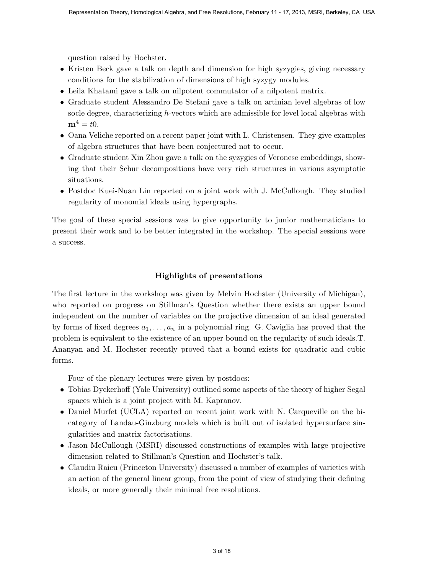question raised by Hochster.

- Kristen Beck gave a talk on depth and dimension for high syzygies, giving necessary conditions for the stabilization of dimensions of high syzygy modules.
- Leila Khatami gave a talk on nilpotent commutator of a nilpotent matrix.
- Graduate student Alessandro De Stefani gave a talk on artinian level algebras of low socle degree, characterizing h-vectors which are admissible for level local algebras with  $\mathbf{m}^4 = t0.$
- Oana Veliche reported on a recent paper joint with L. Christensen. They give examples of algebra structures that have been conjectured not to occur.
- Graduate student Xin Zhou gave a talk on the syzygies of Veronese embeddings, showing that their Schur decompositions have very rich structures in various asymptotic situations.
- Postdoc Kuei-Nuan Lin reported on a joint work with J. McCullough. They studied regularity of monomial ideals using hypergraphs.

The goal of these special sessions was to give opportunity to junior mathematicians to present their work and to be better integrated in the workshop. The special sessions were a success.

#### Highlights of presentations

The first lecture in the workshop was given by Melvin Hochster (University of Michigan), who reported on progress on Stillman's Question whether there exists an upper bound independent on the number of variables on the projective dimension of an ideal generated by forms of fixed degrees  $a_1, \ldots, a_n$  in a polynomial ring. G. Caviglia has proved that the problem is equivalent to the existence of an upper bound on the regularity of such ideals.T. Ananyan and M. Hochster recently proved that a bound exists for quadratic and cubic forms. Superentiation Theory, Homological Algebra, and Free Resolutions, February 11 - 17, 2013, MSRI, Bereley, CA USA<br>(Initial Case Since 18 Resolution of the first and dimension for high syzygies, giving meassary<br>conditions fo

Four of the plenary lectures were given by postdocs:

- Tobias Dyckerhoff (Yale University) outlined some aspects of the theory of higher Segal spaces which is a joint project with M. Kapranov.
- Daniel Murfet (UCLA) reported on recent joint work with N. Carqueville on the bicategory of Landau-Ginzburg models which is built out of isolated hypersurface singularities and matrix factorisations.
- Jason McCullough (MSRI) discussed constructions of examples with large projective dimension related to Stillman's Question and Hochster's talk.
- Claudiu Raicu (Princeton University) discussed a number of examples of varieties with an action of the general linear group, from the point of view of studying their defining ideals, or more generally their minimal free resolutions.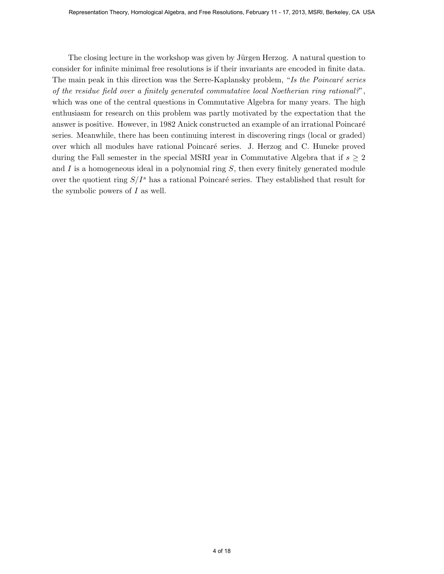The closing lecture in the workshop was given by Jürgen Herzog. A natural question to consider for infinite minimal free resolutions is if their invariants are encoded in finite data. The main peak in this direction was the Serre-Kaplansky problem, "Is the Poincaré series of the residue field over a finitely generated commutative local Noetherian ring rational?", which was one of the central questions in Commutative Algebra for many years. The high enthusiasm for research on this problem was partly motivated by the expectation that the answer is positive. However, in 1982 Anick constructed an example of an irrational Poincaré series. Meanwhile, there has been continuing interest in discovering rings (local or graded) over which all modules have rational Poincar´e series. J. Herzog and C. Huneke proved during the Fall semester in the special MSRI year in Commutative Algebra that if  $s \geq 2$ and  $I$  is a homogeneous ideal in a polynomial ring  $S$ , then every finitely generated module over the quotient ring  $S/I^s$  has a rational Poincaré series. They established that result for the symbolic powers of  $I$  as well. Homological Algebra, and the sociological Algebra, and Free Resolutions, February 11 - 17, 2013, MSRI, processes the constraints in the sociological Algebra, American diposed in the formula free Resolutions is if their in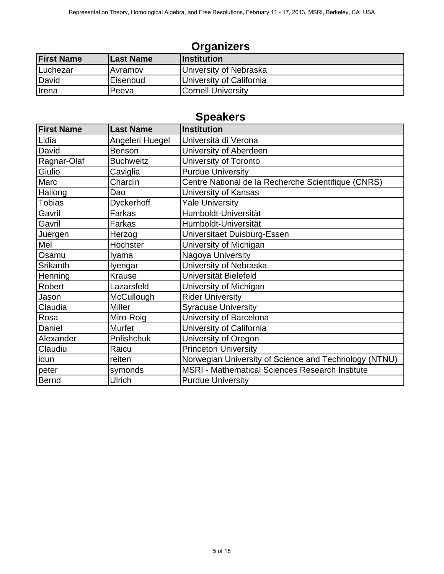# **Organizers**

| <b>First Name</b> | <b>Last Name</b> | <b>Institution</b>        |
|-------------------|------------------|---------------------------|
| Luchezar          | Avramov          | University of Nebraska    |
| David             | Eisenbud         | University of California  |
| <b>I</b> rena     | Peeva            | <b>Cornell University</b> |

# **Speakers**

|                   |                          | <b>Organizers</b>                                     |
|-------------------|--------------------------|-------------------------------------------------------|
| <b>First Name</b> | <b>Last Name</b>         | <b>Institution</b>                                    |
| Luchezar          | Avramov                  | University of Nebraska                                |
| David             | Eisenbud                 | University of California                              |
| Irena             | Peeva                    | <b>Cornell University</b>                             |
|                   |                          |                                                       |
|                   |                          | <b>Speakers</b>                                       |
| <b>First Name</b> | <b>Last Name</b>         | <b>Institution</b>                                    |
| Lidia             | Angeleri Huegel          | Università di Verona                                  |
| David             | <b>Benson</b>            | University of Aberdeen                                |
| Ragnar-Olaf       | <b>Buchweitz</b>         | University of Toronto                                 |
| Giulio            | Caviglia                 | <b>Purdue University</b>                              |
| Marc              | Chardin                  | Centre National de la Recherche Scientifique (CNRS)   |
| Hailong           | Dao                      | University of Kansas                                  |
| <b>Tobias</b>     | <b>Dyckerhoff</b>        | <b>Yale University</b>                                |
| Gavril            | Farkas                   | Humboldt-Universität                                  |
| Gavril            | Farkas                   | Humboldt-Universität                                  |
| Juergen<br>Mel    | Herzog                   | Universitaet Duisburg-Essen                           |
| Osamu             | Hochster                 | University of Michigan                                |
| Srikanth          | Iyama                    | Nagoya University<br>University of Nebraska           |
| Henning           | Iyengar<br><b>Krause</b> | Universität Bielefeld                                 |
| Robert            | Lazarsfeld               | University of Michigan                                |
| Jason             | McCullough               | <b>Rider University</b>                               |
| Claudia           | <b>Miller</b>            | <b>Syracuse University</b>                            |
| Rosa              | Miro-Roig                | University of Barcelona                               |
| Daniel            | <b>Murfet</b>            | University of California                              |
| Alexander         | Polishchuk               | University of Oregon                                  |
| Claudiu           | Raicu                    | <b>Princeton University</b>                           |
| idun              | reiten                   | Norwegian University of Science and Technology (NTNU) |
| peter             | symonds                  | MSRI - Mathematical Sciences Research Institute       |
| Bernd             | Ulrich                   | <b>Purdue University</b>                              |
|                   |                          |                                                       |
|                   |                          |                                                       |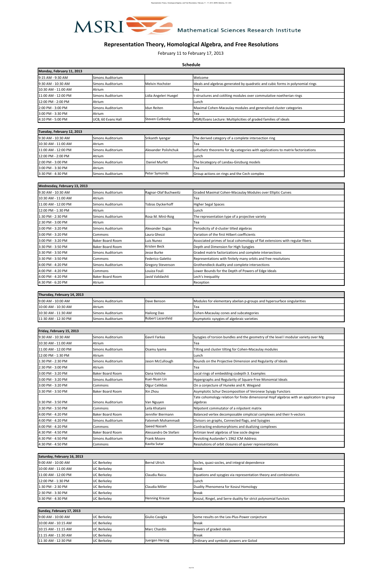| Monday, February 11, 2013   |                           |                       |                                                                                |
|-----------------------------|---------------------------|-----------------------|--------------------------------------------------------------------------------|
| 9:15 AM - 9:30 AM           | Simons Auditorium         |                       | <b>Welcome</b>                                                                 |
| <b>[9:30 AM - 10:30 AM</b>  | Simons Auditorium         | Melvin Hochster       | Ideals and algebras generated by quadratic and cubic forms in polynomial rings |
| <b>10:30 AM - 11:00 AM</b>  | <b>Atrium</b>             |                       | <b>'Tea</b>                                                                    |
| <b>[11:00 AM - 12:00 PM</b> | <b>Simons Auditorium</b>  | Lidia Angeleri Huegel | It-structures and cotilting modules over commutative noetherian rings          |
| <b>12:00 PM - 2:00 PM</b>   | <b>Atrium</b>             |                       | <b>Lunch</b>                                                                   |
| 2:00 PM - 3:00 PM           | Simons Auditorium         | Ildun Reiten          | Maximal Cohen-Macaulay modules and generalised cluster categories              |
| <b>3:00 PM - 3:30 PM</b>    | <b>Atrium</b>             |                       | 'Tea                                                                           |
| <b>4:10 PM - 5:00 PM</b>    | <b>UCB, 60 Evans Hall</b> | Steven Cutkosky       | MSRI/Evans Lecture: Multiplicities of graded families of ideals                |

| Tuesday, February 12, 2013 |                          |                              |                                                                                 |
|----------------------------|--------------------------|------------------------------|---------------------------------------------------------------------------------|
| <b>9:30 AM - 10:30 AM</b>  | <b>Simons Auditorium</b> | <b>ISrikanth Iyengar</b>     | The derived category of a complete intersection ring                            |
| <b>10:30 AM - 11:00 AM</b> | <b>Atrium</b>            |                              | Tea                                                                             |
| <b>11:00 AM - 12:00 PM</b> | Simons Auditorium        | <b>IAlexander Polishchuk</b> | Lefschetz theorems for dg-categories with applications to matrix factorizations |
| <b>12:00 PM - 2:00 PM</b>  | <b>Atrium</b>            |                              | Lunch                                                                           |
| 2:00 PM - 3:00 PM          | <b>Simons Auditorium</b> | <b>Daniel Murfet</b>         | The bicategory of Landau-Ginzburg models                                        |
| <b>3:00 PM - 3:30 PM</b>   | Atrium                   |                              | Tea                                                                             |
| <b>3:30 PM - 4:30 PM</b>   | <b>Simons Auditorium</b> | Peter Symonds                | <b>Group actions on rings and the Cech complex</b>                              |

|                           | Wednesday, February 13, 2013 |                          |                                                                              |
|---------------------------|------------------------------|--------------------------|------------------------------------------------------------------------------|
| 9:30 AM - 10:30 AM        | <b>Simons Auditorium</b>     | Ragnar-Olaf Buchweitz    | Graded Maximal Cohen-Macaulay Modules over Elliptic Curves                   |
| 10:30 AM - 11:00 AM       | Atrium                       |                          | Tea                                                                          |
| 11:00 AM - 12:00 PM       | <b>Simons Auditorium</b>     | <b>Tobias Dyckerhoff</b> | Higher Segal Spaces                                                          |
| <b>12:00 PM - 1:30 PM</b> | Atrium                       |                          | Lunch                                                                        |
| 1:30 PM - 2:30 PM         | <b>Simons Auditorium</b>     | Rosa M. Miró-Roig        | The representation type of a projective variety                              |
| 2:30 PM - 3:00 PM         | Atrium                       |                          | Tea                                                                          |
| <b>3:00 PM - 3:20 PM</b>  | <b>Simons Auditorium</b>     | <b>Alexander Dugas</b>   | Periodicity of d-cluster tilted algebras                                     |
| 3:00 PM - 3:20 PM         | Commons                      | Laura Ghezzi             | Variation of the first Hilbert coefficients                                  |
| 3:00 PM - 3:20 PM         | Baker Board Room             | Luis Nunez               | Associated primes of local cohomology of flat extensions with regular fibers |
| <b>3:30 PM - 3:50 PM</b>  | Baker Board Room             | <b>Kristen Beck</b>      | Depth and Dimension for High Syzygies                                        |
| 3:30 PM - 3:50 PM         | <b>Simons Auditorium</b>     | Jesse Burke              | Graded matrix factorizations and complete intersections                      |
| 3:30 PM - 3:50 PM         | Commons                      | <b>Federico Galetto</b>  | Representations with finitely many orbits and free resolutions               |
| 4:00 PM - 4:20 PM         | <b>Simons Auditorium</b>     | <b>Gregory Stevenson</b> | Grothendieck duality and complete intersections                              |
| 4:00 PM - 4:20 PM         | Commons                      | Louiza Fouli             | Lower Bounds for the Depth of Powers of Edge Ideals                          |
| 4:00 PM - 4:20 PM         | Baker Board Room             | Javid Validashti         | Lech's Inequality                                                            |
| 4:30 PM - 6:20 PM         | Atrium                       |                          | Reception                                                                    |

| Thursday, February 14, 2013 |                          |                           |                                                                        |
|-----------------------------|--------------------------|---------------------------|------------------------------------------------------------------------|
| <b>9:00 AM - 10:00 AM</b>   | <b>Simons Auditorium</b> | <b>IDave Benson</b>       | Modules for elementary abelian p-groups and hypersurface singularities |
| <b>[10:00 AM - 10:30 AM</b> | <b>Atrium</b>            |                           | lTea                                                                   |
| <b>1</b> 0:30 AM - 11:30 AM | <b>Simons Auditorium</b> | <b>Hailong Dao</b>        | Cohen-Macaulay cones and subcategories                                 |
| <b>11:30 AM - 12:30 PM</b>  | <b>Simons Auditorium</b> | <b>IRobert Lazarsfeld</b> | Asymptotic syzygies of algebraic varieties                             |

| <b>Representation Theory, Homological Algebra, and Free Resolutions</b>                                                                                                                                                                                                                                    |                                                     |                                         |                                                                                                                            |  |
|------------------------------------------------------------------------------------------------------------------------------------------------------------------------------------------------------------------------------------------------------------------------------------------------------------|-----------------------------------------------------|-----------------------------------------|----------------------------------------------------------------------------------------------------------------------------|--|
|                                                                                                                                                                                                                                                                                                            |                                                     |                                         | February 11 to February 17, 2013<br><b>Schedule</b>                                                                        |  |
| Monday, February 11, 2013                                                                                                                                                                                                                                                                                  |                                                     |                                         |                                                                                                                            |  |
| <b>9:15 AM - 9:30 AM</b><br>9:30 AM - 10:30 AM                                                                                                                                                                                                                                                             | <b>Simons Auditorium</b><br>Simons Auditorium       | Melvin Hochster                         | Welcome<br>Ideals and algebras generated by quadratic and cubic forms in polynomial rings                                  |  |
| 10:30 AM - 11:00 AM                                                                                                                                                                                                                                                                                        | Atrium                                              |                                         | Tea                                                                                                                        |  |
| $11:00$ AM - $12:00$ PM                                                                                                                                                                                                                                                                                    | Simons Auditorium                                   | Lidia Angeleri Huegel                   | t-structures and cotilting modules over commutative noetherian rings                                                       |  |
| <b>12:00 PM - 2:00 PM</b><br><b>2:00 PM - 3:00 PM</b>                                                                                                                                                                                                                                                      | Atrium<br>Simons Auditorium                         | Ildun Reiten                            | Lunch<br>Maximal Cohen-Macaulay modules and generalised cluster categories                                                 |  |
| <b>3:00 PM - 3:30 PM</b>                                                                                                                                                                                                                                                                                   | Atrium                                              |                                         | Tea                                                                                                                        |  |
| 4:10 PM - 5:00 PM                                                                                                                                                                                                                                                                                          | UCB, 60 Evans Hall                                  | Steven Cutkosky                         | MSRI/Evans Lecture: Multiplicities of graded families of ideals                                                            |  |
| Tuesday, February 12, 2013                                                                                                                                                                                                                                                                                 |                                                     |                                         |                                                                                                                            |  |
| 9:30 AM - 10:30 AM<br>10:30 AM - 11:00 AM                                                                                                                                                                                                                                                                  | Simons Auditorium                                   | Srikanth Iyengar                        | The derived category of a complete intersection ring                                                                       |  |
| 11:00 AM - 12:00 PM                                                                                                                                                                                                                                                                                        | Atrium<br>Simons Auditorium                         | <b>Alexander Polishchuk</b>             | Tea<br>Lefschetz theorems for dg-categories with applications to matrix factorizations                                     |  |
| <b>12:00 PM - 2:00 PM</b>                                                                                                                                                                                                                                                                                  | Atrium                                              |                                         | Lunch                                                                                                                      |  |
| 2:00 PM - 3:00 PM<br>3:00 PM - 3:30 PM                                                                                                                                                                                                                                                                     | Simons Auditorium<br> Atrium                        | Daniel Murfet                           | The bicategory of Landau-Ginzburg models<br>Tea                                                                            |  |
| 3:30 PM - 4:30 PM                                                                                                                                                                                                                                                                                          | Simons Auditorium                                   | <b>Peter Symonds</b>                    | Group actions on rings and the Cech complex                                                                                |  |
|                                                                                                                                                                                                                                                                                                            |                                                     |                                         |                                                                                                                            |  |
| Wednesday, February 13, 2013<br><b>9:30 AM - 10:30 AM</b>                                                                                                                                                                                                                                                  | Simons Auditorium                                   | Ragnar-Olaf Buchweitz                   | <b>Graded Maximal Cohen-Macaulay Modules over Elliptic Curves</b>                                                          |  |
| 10:30 AM - 11:00 AM                                                                                                                                                                                                                                                                                        | Atrium                                              |                                         | Tea                                                                                                                        |  |
| $11:00$ AM - $12:00$ PM<br>12:00 PM - 1:30 PM                                                                                                                                                                                                                                                              | <b>Simons Auditorium</b><br> Atrium                 | <b>Tobias Dyckerhoff</b>                | <b>Higher Segal Spaces</b><br>Lunch                                                                                        |  |
| <b>I</b> 1:30 PM - 2:30 PM                                                                                                                                                                                                                                                                                 | Simons Auditorium                                   | Rosa M. Miró-Roig                       | The representation type of a projective variety                                                                            |  |
| 2:30 PM - 3:00 PM                                                                                                                                                                                                                                                                                          | Atrium                                              |                                         | Tea                                                                                                                        |  |
| 3:00 PM - 3:20 PM<br><b>3:00 PM - 3:20 PM</b>                                                                                                                                                                                                                                                              | Simons Auditorium<br>Commons                        | <b>Alexander Dugas</b><br>Laura Ghezzi  | Periodicity of d-cluster tilted algebras<br>Variation of the first Hilbert coefficients                                    |  |
| <b>3:00 PM - 3:20 PM</b>                                                                                                                                                                                                                                                                                   | <b>Baker Board Room</b>                             | Luis Nunez                              | Associated primes of local cohomology of flat extensions with regular fibers                                               |  |
| 3:30 PM - 3:50 PM                                                                                                                                                                                                                                                                                          | <b>Baker Board Room</b>                             | Kristen Beck                            | Depth and Dimension for High Syzygies                                                                                      |  |
| 3:30 PM - 3:50 PM<br>3:30 PM - 3:50 PM                                                                                                                                                                                                                                                                     | <b>Simons Auditorium</b><br>Commons                 | Jesse Burke<br><b>Federico Galetto</b>  | Graded matrix factorizations and complete intersections<br>Representations with finitely many orbits and free resolutions  |  |
| <b>4:00 PM - 4:20 PM</b>                                                                                                                                                                                                                                                                                   | Simons Auditorium                                   | <b>Gregory Stevenson</b>                | Grothendieck duality and complete intersections                                                                            |  |
| <b>Ⅰ</b> 4:00 PM - 4:20 PM<br><b>Ⅰ</b> 4:00 PM - 4:20 PM                                                                                                                                                                                                                                                   | Commons<br><b>Baker Board Room</b>                  | Louiza Fouli<br>Javid Validashti        | Lower Bounds for the Depth of Powers of Edge Ideals<br>Lech's Inequality                                                   |  |
| 4:30 PM - 6:20 PM                                                                                                                                                                                                                                                                                          | Atrium                                              |                                         | Reception                                                                                                                  |  |
| Thursday, February 14, 2013                                                                                                                                                                                                                                                                                |                                                     |                                         |                                                                                                                            |  |
| 19:00 AM - 10:00 AM                                                                                                                                                                                                                                                                                        | Simons Auditorium                                   | Dave Benson                             | Modules for elementary abelian p-groups and hypersurface singularities                                                     |  |
| 10:00 AM - 10:30 AM                                                                                                                                                                                                                                                                                        | Atrium                                              |                                         | Tea                                                                                                                        |  |
| <b>10:30 AM - 11:30 AM</b><br><b>11:30 AM - 12:30 PM</b>                                                                                                                                                                                                                                                   | Simons Auditorium<br><b>Simons Auditorium</b>       | <b>Hailong Dao</b><br>Robert Lazarsfeld | Cohen-Macaulay cones and subcategories<br>Asymptotic syzygies of algebraic varieties                                       |  |
|                                                                                                                                                                                                                                                                                                            |                                                     |                                         |                                                                                                                            |  |
| Friday, February 15, 2013<br>9:30 AM - 10:30 AM                                                                                                                                                                                                                                                            | Simons Auditorium                                   | <b>Gavril Farkas</b>                    | Syzygies of torsion bundles and the geometry of the level I modular variety over Mg                                        |  |
| <b>I</b> 10:30 AM - 11:00 AM                                                                                                                                                                                                                                                                               | Atrium                                              |                                         | <b>Tea</b>                                                                                                                 |  |
| $11:00$ AM - $12:00$ PM                                                                                                                                                                                                                                                                                    | Simons Auditorium                                   | Osamu Iyama                             | Tilting and cluster tilting for Cohen-Macaulay modules                                                                     |  |
| 12:00 PM - 1:30 PM<br>1:30 PM - 2:30 PM                                                                                                                                                                                                                                                                    | Atrium<br>Simons Auditorium                         | Jason McCullough                        | Lunch<br>Bounds on the Projective Dimension and Regularity of Ideals                                                       |  |
| 2:30 PM - 3:00 PM                                                                                                                                                                                                                                                                                          | Atrium                                              |                                         | Tea                                                                                                                        |  |
| 3:00 PM - 3:20 PM<br>3:00 PM - 3:20 PM                                                                                                                                                                                                                                                                     | Baker Board Room<br><b>Simons Auditorium</b>        | Oana Veliche<br> Kuei-Nuan Lin          | Local rings of embedding codepth 3. Examples<br>Hypergraphs and Regularity of Square-Free Monomial Ideals                  |  |
| 3:00 PM - 3:20 PM                                                                                                                                                                                                                                                                                          | Commons                                             | Olgur Celikbas                          | On a conjecture of Huneke and R. Wiegand                                                                                   |  |
| <b>3:30 PM - 3:50 PM</b>                                                                                                                                                                                                                                                                                   | <b>Baker Board Room</b>                             | Xin Zhou                                | Asymptotic Schur Decomposition of Veronese Syzygy Functors                                                                 |  |
| 3:30 PM - 3:50 PM                                                                                                                                                                                                                                                                                          | Simons Auditorium                                   | Van Nguyen                              | Tate cohomology relation for finite dimensional Hopf algebras with an application to group<br>algebras                     |  |
| 3:30 PM - 3:50 PM                                                                                                                                                                                                                                                                                          | Commons                                             | Leila Khatami                           | Nilpotent commutator of a nilpotent matrix                                                                                 |  |
| 4:00 PM - 4:20 PM<br><b>4:00 PM - 4:20 PM</b>                                                                                                                                                                                                                                                              | <b>Baker Board Room</b><br><b>Simons Auditorium</b> | Jennifer Biermann<br>Fatemeh Mohammadi  | Balanced vertex decomposable simplicial complexes and their h-vectors<br>Divisors on graphs, Connected flags, and Syzygies |  |
| <b>4:00 PM - 4:20 PM</b>                                                                                                                                                                                                                                                                                   | Commons                                             | Saeed Nasseh                            | Contracting endomorphisms and dualizing complexes                                                                          |  |
| 4:30 PM - 4:50 PM                                                                                                                                                                                                                                                                                          | <b>Baker Board Room</b>                             | Alessandro De Stefani                   | Artinian level algebras of low socle degree                                                                                |  |
| <b>4:30 PM - 4:50 PM</b>                                                                                                                                                                                                                                                                                   | Simons Auditorium<br>Commons                        | <b>Frank Moore</b><br>Kavita Sutar      | <b>Revisiting Auslander's 1962 ICM Address</b><br>Resolutions of orbit closures of quiver representations                  |  |
|                                                                                                                                                                                                                                                                                                            |                                                     |                                         |                                                                                                                            |  |
|                                                                                                                                                                                                                                                                                                            |                                                     | <b>Bernd Ulrich</b>                     | Socles, quasi-socles, and integral dependence                                                                              |  |
|                                                                                                                                                                                                                                                                                                            |                                                     |                                         | <b>Break</b>                                                                                                               |  |
|                                                                                                                                                                                                                                                                                                            | UC Berkeley<br>UC Berkeley                          |                                         | Equations and syzygies via representation theory and combinatorics                                                         |  |
|                                                                                                                                                                                                                                                                                                            | UC Berkeley                                         | Claudiu Raicu                           |                                                                                                                            |  |
|                                                                                                                                                                                                                                                                                                            | UC Berkeley<br>UC Berkeley                          | Claudia Miller                          | Lunch<br>Duality Phenomena for Koszul Homology                                                                             |  |
|                                                                                                                                                                                                                                                                                                            | UC Berkeley                                         |                                         | <b>Break</b>                                                                                                               |  |
|                                                                                                                                                                                                                                                                                                            | <b>UC Berkeley</b>                                  | <b>Henning Krause</b>                   | Koszul, Ringel, and Serre duality for strict polynomial functors                                                           |  |
|                                                                                                                                                                                                                                                                                                            |                                                     |                                         |                                                                                                                            |  |
|                                                                                                                                                                                                                                                                                                            | <b>UC Berkeley</b>                                  | <b>Giulio Caviglia</b>                  | Some results on the Lex-Plus-Power conjecture                                                                              |  |
| <b>4:30 PM - 4:50 PM</b><br>Saturday, February 16, 2013<br>9:00 AM - 10:00 AM<br>$10:00$ AM - $11:00$ AM<br>$11:00$ AM - $12:00$ PM<br>12:00 PM - 1:30 PM<br>1:30 PM - 2:30 PM<br>2:30 PM - 3:30 PM<br>3:30 PM - 4:30 PM<br>Sunday, February 17, 2013<br>19:00 AM - 10:00 AM<br><b>10:00 AM - 10:15 AM</b> | <b>IUC Berkeley</b>                                 |                                         | <b>Break</b>                                                                                                               |  |
| $10:15$ AM - $11:15$ AM<br>$11:15$ AM - $11:30$ AM                                                                                                                                                                                                                                                         | <b>IUC Berkeley</b><br><b>IUC Berkeley</b>          | <b>Marc Chardin</b>                     | Powers of graded ideals<br><b>Break</b>                                                                                    |  |

| Saturday, February 16, 2013 |                     |                       |                                                                    |
|-----------------------------|---------------------|-----------------------|--------------------------------------------------------------------|
| <b>9:00 AM - 10:00 AM</b>   | <b>JUC Berkeley</b> | <b>Bernd Ulrich</b>   | Socles, quasi-socles, and integral dependence                      |
| $10:00$ AM - $11:00$ AM     | <b>JUC Berkeley</b> |                       | Break                                                              |
| <b>11:00 AM - 12:00 PM</b>  | <b>JUC Berkeley</b> | <b>Claudiu Raicu</b>  | Equations and syzygies via representation theory and combinatorics |
| <b>12:00 PM - 1:30 PM</b>   | <b>JUC Berkeley</b> |                       | Lunch                                                              |
| 1:30 PM - 2:30 PM           | <b>IUC Berkeley</b> | Claudia Miller        | Duality Phenomena for Koszul Homology                              |
| <b>2:30 PM - 3:30 PM</b>    | <b>UC Berkeley</b>  |                       | <b>IBreak</b>                                                      |
| <b>3:30 PM - 4:30 PM</b>    | <b>UC Berkeley</b>  | <b>Henning Krause</b> | Koszul, Ringel, and Serre duality for strict polynomial functors   |

| . .                       |                     |                        |                                               |  |
|---------------------------|---------------------|------------------------|-----------------------------------------------|--|
| <b>9:00 AM - 10:00 AM</b> | <b>IUC Berkeley</b> | <b>Giulio Caviglia</b> | Some results on the Lex-Plus-Power conjecture |  |
| $10:00$ AM - $10:15$ AM   | <b>IUC Berkeley</b> |                        | <b>I</b> Break                                |  |
| $10:15$ AM - $11:15$ AM   | <b>IUC Berkeley</b> | <b>IMarc Chardin</b>   | <b>Powers of graded ideals</b>                |  |
| $11:15$ AM - $11:30$ AM   | <b>IUC Berkeley</b> |                        | <b>I</b> Break                                |  |
| $11:30$ AM - $12:30$ PM   | <b>IUC Berkeley</b> | Juergen Herzog         | <b>Ordinary and symbolic powers are Golod</b> |  |



# **Representation Theory, Homological Algebra, and Free Resolutions**

# **Schedule**

# **Sunday, February 17, 2013**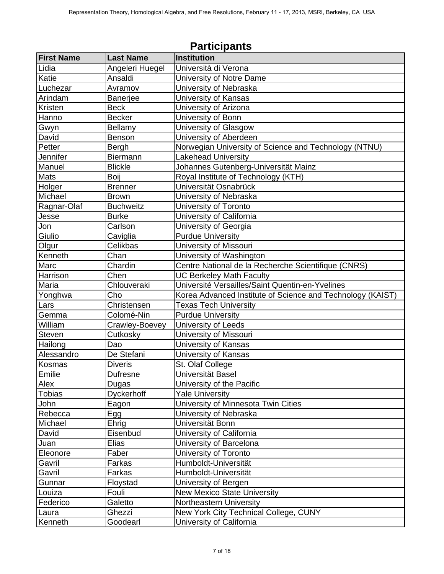|                   |                   | <b>Participants</b>                                        |
|-------------------|-------------------|------------------------------------------------------------|
| <b>First Name</b> | <b>Last Name</b>  | <b>Institution</b>                                         |
| Lidia             | Angeleri Huegel   | Università di Verona                                       |
| Katie             | Ansaldi           | University of Notre Dame                                   |
| Luchezar          | Avramov           | University of Nebraska                                     |
| Arindam           | <b>Banerjee</b>   | University of Kansas                                       |
| Kristen           | <b>Beck</b>       | University of Arizona                                      |
| Hanno             | <b>Becker</b>     | University of Bonn                                         |
| Gwyn              | Bellamy           | University of Glasgow                                      |
| David             | Benson            | University of Aberdeen                                     |
| Petter            | Bergh             | Norwegian University of Science and Technology (NTNU)      |
| Jennifer          | <b>Biermann</b>   | <b>Lakehead University</b>                                 |
| Manuel            | <b>Blickle</b>    | Johannes Gutenberg-Universität Mainz                       |
| <b>Mats</b>       | Boij              | Royal Institute of Technology (KTH)                        |
| Holger            | <b>Brenner</b>    | Universität Osnabrück                                      |
| Michael           | <b>Brown</b>      | University of Nebraska                                     |
| Ragnar-Olaf       | <b>Buchweitz</b>  | University of Toronto                                      |
| Jesse             | <b>Burke</b>      | University of California                                   |
| Jon               | Carlson           | University of Georgia                                      |
| Giulio            | Caviglia          | <b>Purdue University</b>                                   |
| Olgur             | Celikbas          | University of Missouri                                     |
| Kenneth           | Chan              | University of Washington                                   |
| Marc              | Chardin           | Centre National de la Recherche Scientifique (CNRS)        |
| Harrison          | Chen              | <b>UC Berkeley Math Faculty</b>                            |
| Maria             | Chlouveraki       | Université Versailles/Saint Quentin-en-Yvelines            |
| Yonghwa           | Cho               | Korea Advanced Institute of Science and Technology (KAIST) |
| Lars              | Christensen       | <b>Texas Tech University</b>                               |
| Gemma             | Colomé-Nin        | <b>Purdue University</b>                                   |
| William           | Crawley-Boevey    | University of Leeds                                        |
| <b>Steven</b>     | Cutkosky          | University of Missouri                                     |
| Hailong           | Dao               | University of Kansas                                       |
| Alessandro        | De Stefani        | University of Kansas                                       |
| Kosmas            | <b>Diveris</b>    | St. Olaf College                                           |
| Emilie            | Dufresne          | Universität Basel                                          |
| Alex              | Dugas             | University of the Pacific                                  |
| <b>Tobias</b>     | <b>Dyckerhoff</b> | <b>Yale University</b>                                     |
| John              | Eagon             | University of Minnesota Twin Cities                        |
| Rebecca           | Egg               | University of Nebraska                                     |
| Michael           | Ehrig             | Universität Bonn                                           |
| David             | Eisenbud          | University of California                                   |
| Juan              | Elias             | University of Barcelona                                    |
| Eleonore          | Faber             | University of Toronto                                      |
| Gavril            | Farkas            | Humboldt-Universität                                       |
| Gavril            | Farkas            | Humboldt-Universität                                       |
| Gunnar            | Floystad          | University of Bergen                                       |
| Louiza            | Fouli             | <b>New Mexico State University</b>                         |
| Federico          | Galetto           | Northeastern University                                    |
| Laura             | Ghezzi            | New York City Technical College, CUNY                      |
| Kenneth           | Goodearl          | University of California                                   |

### **Participants**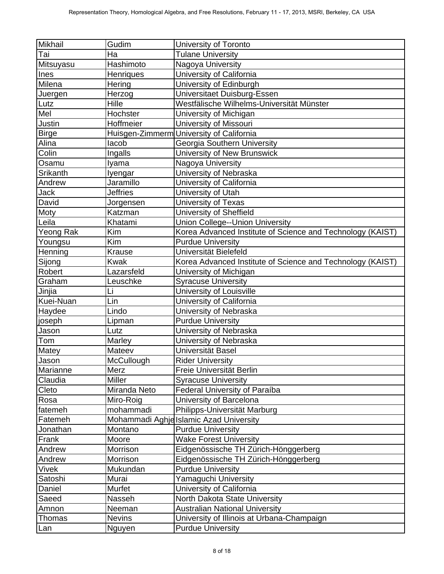| Mikhail          | Gudim           | University of Toronto                                      |
|------------------|-----------------|------------------------------------------------------------|
| Tai              | Ha              | <b>Tulane University</b>                                   |
| Mitsuyasu        | Hashimoto       | Nagoya University                                          |
| Ines             | Henriques       | University of California                                   |
| Milena           | Hering          | University of Edinburgh                                    |
| Juergen          | Herzog          | Universitaet Duisburg-Essen                                |
| Lutz             | Hille           | Westfälische Wilhelms-Universität Münster                  |
| Mel              | Hochster        | University of Michigan                                     |
| Justin           | Hoffmeier       | University of Missouri                                     |
| <b>Birge</b>     |                 | Huisgen-Zimmerm University of California                   |
| Alina            | lacob           | Georgia Southern University                                |
| Colin            | Ingalls         | University of New Brunswick                                |
| Osamu            | Iyama           | Nagoya University                                          |
| <b>Srikanth</b>  | <b>lyengar</b>  | University of Nebraska                                     |
| Andrew           | Jaramillo       | University of California                                   |
| Jack             | <b>Jeffries</b> | University of Utah                                         |
| David            | Jorgensen       | University of Texas                                        |
| Moty             | Katzman         | University of Sheffield                                    |
| Leila            | Khatami         | Union College--Union University                            |
| <b>Yeong Rak</b> | Kim             | Korea Advanced Institute of Science and Technology (KAIST) |
| Youngsu          | Kim             | <b>Purdue University</b>                                   |
| Henning          | Krause          | Universität Bielefeld                                      |
| Sijong           | <b>Kwak</b>     | Korea Advanced Institute of Science and Technology (KAIST) |
| Robert           | Lazarsfeld      | University of Michigan                                     |
| Graham           | Leuschke        | <b>Syracuse University</b>                                 |
| Jinjia           | Li              | University of Louisville                                   |
| Kuei-Nuan        | Lin             | University of California                                   |
| Haydee           | Lindo           | University of Nebraska                                     |
| joseph           | Lipman          | <b>Purdue University</b>                                   |
| Jason            | Lutz            | University of Nebraska                                     |
| Tom              | Marley          | University of Nebraska                                     |
| Matey            | Mateev          | Universität Basel                                          |
| Jason            | McCullough      | <b>Rider University</b>                                    |
| Marianne         | Merz            | Freie Universität Berlin                                   |
| Claudia          | Miller          | <b>Syracuse University</b>                                 |
| Cleto            | Miranda Neto    | Federal University of Paraíba                              |
| Rosa             | Miro-Roig       | University of Barcelona                                    |
| fatemeh          | mohammadi       | Philipps-Universität Marburg                               |
| Fatemeh          |                 | Mohammadi Aghje Islamic Azad University                    |
| Jonathan         | Montano         | <b>Purdue University</b>                                   |
| Frank            | Moore           | <b>Wake Forest University</b>                              |
| Andrew           | Morrison        | Eidgenössische TH Zürich-Hönggerberg                       |
| Andrew           | Morrison        | Eidgenössische TH Zürich-Hönggerberg                       |
| Vivek            | Mukundan        | <b>Purdue University</b>                                   |
| Satoshi          | Murai           | Yamaguchi University                                       |
| Daniel           | Murfet          | University of California                                   |
| Saeed            | Nasseh          | North Dakota State University                              |
| Amnon            | Neeman          | <b>Australian National University</b>                      |
| Thomas           | <b>Nevins</b>   | University of Illinois at Urbana-Champaign                 |
| Lan              | Nguyen          | <b>Purdue University</b>                                   |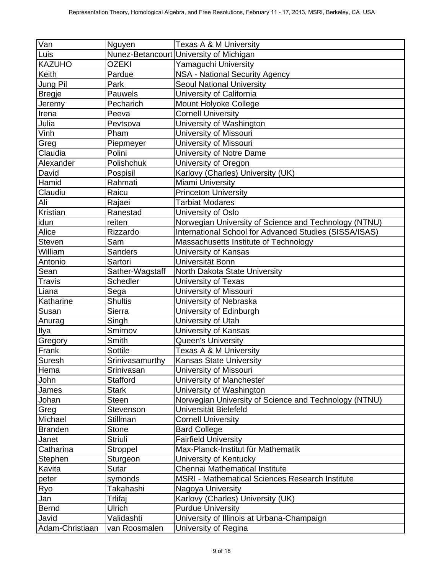| $\bar{V}$ an    | Nguyen          | Texas A & M University                                                                                          |
|-----------------|-----------------|-----------------------------------------------------------------------------------------------------------------|
| Luis            |                 | Nunez-Betancourt University of Michigan                                                                         |
| <b>KAZUHO</b>   | OZEKI           | Yamaguchi University                                                                                            |
| Keith           | Pardue          | NSA - National Security Agency                                                                                  |
| Jung Pil        | Park            | <b>Seoul National University</b>                                                                                |
| <b>Bregje</b>   | Pauwels         | University of California                                                                                        |
| Jeremy          | Pecharich       | Mount Holyoke College                                                                                           |
| Irena           | Peeva           | <b>Cornell University</b>                                                                                       |
| Julia           | Pevtsova        | University of Washington                                                                                        |
| Vinh            | Pham            | University of Missouri                                                                                          |
| Greg            | Piepmeyer       | University of Missouri                                                                                          |
| Claudia         | Polini          | University of Notre Dame                                                                                        |
| Alexander       | Polishchuk      | University of Oregon                                                                                            |
| David           | Pospisil        | Karlovy (Charles) University (UK)                                                                               |
| Hamid           | Rahmati         | Miami University                                                                                                |
| Claudiu         | Raicu           | <b>Princeton University</b>                                                                                     |
| Ali             | Rajaei          | <b>Tarbiat Modares</b>                                                                                          |
| Kristian        | Ranestad        | University of Oslo                                                                                              |
|                 | reiten          |                                                                                                                 |
| idun<br>Alice   |                 | Norwegian University of Science and Technology (NTNU)<br>International School for Advanced Studies (SISSA/ISAS) |
|                 | Rizzardo        |                                                                                                                 |
| <b>Steven</b>   | Sam             | Massachusetts Institute of Technology                                                                           |
| William         | <b>Sanders</b>  | University of Kansas                                                                                            |
| Antonio         | Sartori         | Universität Bonn                                                                                                |
| Sean            | Sather-Wagstaff | North Dakota State University                                                                                   |
| Travis          | Schedler        | University of Texas                                                                                             |
| Liana           | Sega            | University of Missouri                                                                                          |
| Katharine       | <b>Shultis</b>  | University of Nebraska                                                                                          |
| Susan           | Sierra          | University of Edinburgh                                                                                         |
| Anurag          | Singh           | University of Utah                                                                                              |
| Ilya            | Smirnov         | University of Kansas                                                                                            |
| Gregory         | Smith           | Queen's University                                                                                              |
| Frank           | <b>Sottile</b>  | Texas A & M University                                                                                          |
| Suresh          | Srinivasamurthy | Kansas State University                                                                                         |
| Hema            | Srinivasan      | University of Missouri                                                                                          |
| John            | <b>Stafford</b> | University of Manchester                                                                                        |
| James           | <b>Stark</b>    | University of Washington                                                                                        |
| Johan           | Steen           | Norwegian University of Science and Technology (NTNU)                                                           |
| Greg            | Stevenson       | Universität Bielefeld                                                                                           |
| Michael         | Stillman        | <b>Cornell University</b>                                                                                       |
| <b>Branden</b>  | Stone           | <b>Bard College</b>                                                                                             |
| Janet           | <b>Striuli</b>  | <b>Fairfield University</b>                                                                                     |
| Catharina       | Stroppel        | Max-Planck-Institut für Mathematik                                                                              |
| Stephen         | Sturgeon        | University of Kentucky                                                                                          |
| Kavita          | Sutar           | Chennai Mathematical Institute                                                                                  |
| peter           | symonds         | MSRI - Mathematical Sciences Research Institute                                                                 |
| Ryo             | Takahashi       | Nagoya University                                                                                               |
| Jan             | Trlifaj         | Karlovy (Charles) University (UK)                                                                               |
| <b>Bernd</b>    | Ulrich          | <b>Purdue University</b>                                                                                        |
| Javid           | Validashti      | University of Illinois at Urbana-Champaign                                                                      |
| Adam-Christiaan | van Roosmalen   | University of Regina                                                                                            |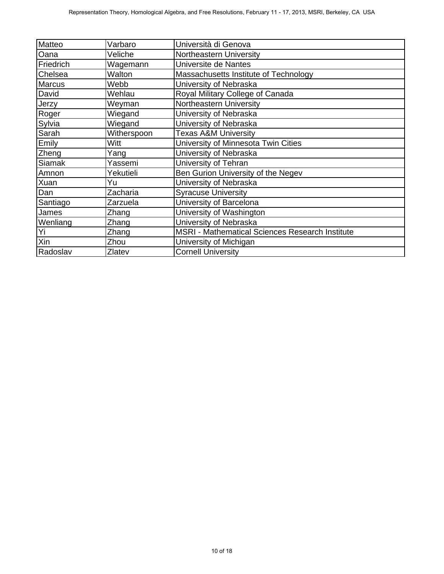| Matteo    | Varbaro     | Università di Genova                            |
|-----------|-------------|-------------------------------------------------|
| Oana      | Veliche     | Northeastern University                         |
| Friedrich | Wagemann    | Universite de Nantes                            |
| Chelsea   | Walton      | Massachusetts Institute of Technology           |
| Marcus    | Webb        | University of Nebraska                          |
| David     | Wehlau      | Royal Military College of Canada                |
| Jerzy     | Weyman      | Northeastern University                         |
| Roger     | Wiegand     | University of Nebraska                          |
| Sylvia    | Wiegand     | University of Nebraska                          |
| Sarah     | Witherspoon | <b>Texas A&amp;M University</b>                 |
| Emily     | Witt        | University of Minnesota Twin Cities             |
| Zheng     | Yang        | University of Nebraska                          |
| Siamak    | Yassemi     | University of Tehran                            |
| Amnon     | Yekutieli   | Ben Gurion University of the Negev              |
| Xuan      | Yu          | University of Nebraska                          |
| Dan       | Zacharia    | <b>Syracuse University</b>                      |
| Santiago  | Zarzuela    | University of Barcelona                         |
| James     | Zhang       | University of Washington                        |
| Wenliang  | Zhang       | University of Nebraska                          |
| Yi        | Zhang       | MSRI - Mathematical Sciences Research Institute |
| Xin       | Zhou        | University of Michigan                          |
| Radoslav  | Zlatev      | <b>Cornell University</b>                       |
|           |             |                                                 |
|           |             |                                                 |
|           |             |                                                 |
|           |             |                                                 |
|           |             |                                                 |
|           |             |                                                 |
|           |             |                                                 |
|           |             |                                                 |
|           |             |                                                 |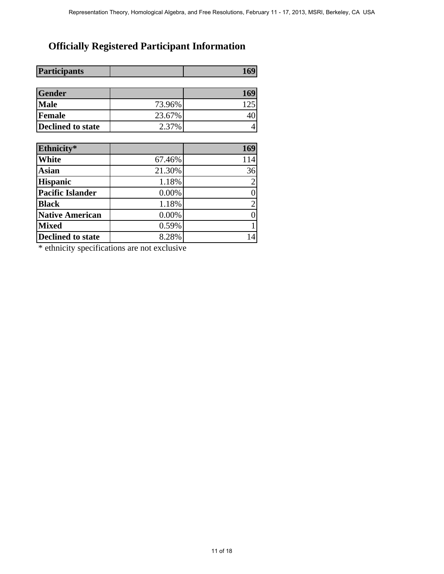## **Officially Registered Participant Information**

| 169<br>73.96%<br>125<br>23.67%<br>40<br>2.37%<br>$\overline{4}$<br>169<br>67.46%<br>114<br>21.30%<br>36<br>1.18%<br>$\overline{2}$<br>$0.00\%$<br>$\boldsymbol{0}$<br>$\overline{c}$<br>1.18%<br>$0.00\%$<br>$\boldsymbol{0}$<br>0.59%<br>$\mathbf{1}$<br>14<br>8.28% | Gender<br><b>Male</b><br>Female<br><b>Declined to state</b><br>Ethnicity*<br>White<br><b>Asian</b><br><b>Hispanic</b><br><b>Pacific Islander</b><br><b>Black</b><br><b>Native American</b><br><b>Mixed</b><br><b>Declined to state</b><br>* ethnicity specifications are not exclusive | <b>Participants</b> | 169 |
|-----------------------------------------------------------------------------------------------------------------------------------------------------------------------------------------------------------------------------------------------------------------------|----------------------------------------------------------------------------------------------------------------------------------------------------------------------------------------------------------------------------------------------------------------------------------------|---------------------|-----|
|                                                                                                                                                                                                                                                                       |                                                                                                                                                                                                                                                                                        |                     |     |
|                                                                                                                                                                                                                                                                       |                                                                                                                                                                                                                                                                                        |                     |     |
|                                                                                                                                                                                                                                                                       |                                                                                                                                                                                                                                                                                        |                     |     |
|                                                                                                                                                                                                                                                                       |                                                                                                                                                                                                                                                                                        |                     |     |
|                                                                                                                                                                                                                                                                       |                                                                                                                                                                                                                                                                                        |                     |     |
|                                                                                                                                                                                                                                                                       |                                                                                                                                                                                                                                                                                        |                     |     |
|                                                                                                                                                                                                                                                                       |                                                                                                                                                                                                                                                                                        |                     |     |
|                                                                                                                                                                                                                                                                       |                                                                                                                                                                                                                                                                                        |                     |     |
|                                                                                                                                                                                                                                                                       |                                                                                                                                                                                                                                                                                        |                     |     |
|                                                                                                                                                                                                                                                                       |                                                                                                                                                                                                                                                                                        |                     |     |
|                                                                                                                                                                                                                                                                       |                                                                                                                                                                                                                                                                                        |                     |     |
|                                                                                                                                                                                                                                                                       |                                                                                                                                                                                                                                                                                        |                     |     |
|                                                                                                                                                                                                                                                                       |                                                                                                                                                                                                                                                                                        |                     |     |
|                                                                                                                                                                                                                                                                       |                                                                                                                                                                                                                                                                                        |                     |     |
|                                                                                                                                                                                                                                                                       |                                                                                                                                                                                                                                                                                        |                     |     |
|                                                                                                                                                                                                                                                                       |                                                                                                                                                                                                                                                                                        |                     |     |
|                                                                                                                                                                                                                                                                       |                                                                                                                                                                                                                                                                                        |                     |     |
|                                                                                                                                                                                                                                                                       |                                                                                                                                                                                                                                                                                        |                     |     |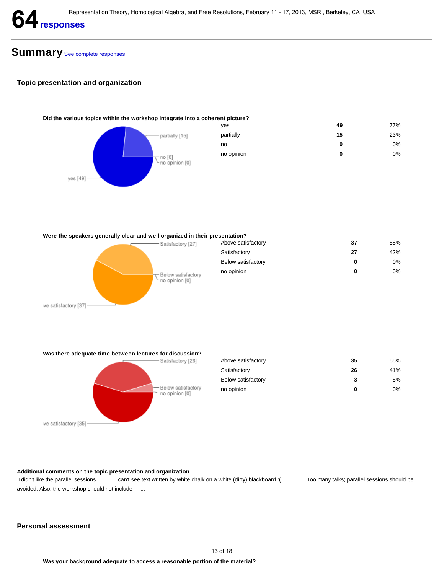

## Summary See complete responses

#### **Topic presentation and organization**

# **Did the various topics within the workshop integrate into a coherent picture?** yes **49** 77% partially **15** 23% no **0** 0% no opinion **0** 0% 13 of 18 Persons and the methods of 18 and the Constant Algebra, February 11 - 17, 2013, MSRI, Benedick CA USA<br>
13 of 20<br>
13 of 20<br>
13 of 20<br>
13 of 20<br>
13 of 20<br>
13 of 20<br>
13 of 20<br>
13 of 20<br>
13 of 20<br>
13 of 20<br>
13 of 20<br>

**Were the speakers generally clear and well organized in their presentation?**



**Was there adequate time between lectures for discussion?**



| Above satisfactory | 35 | 55%   |
|--------------------|----|-------|
| Satisfactory       | 26 | 41%   |
| Below satisfactory | 3  | 5%    |
| no opinion         | 0  | $0\%$ |

#### **Additional comments on the topic presentation and organization**

I didn't like the parallel sessions I can't see text written by white chalk on a white (dirty) blackboard :( Too many talks; parallel sessions should be avoided. Also, the workshop should not include ...

#### **Personal assessment**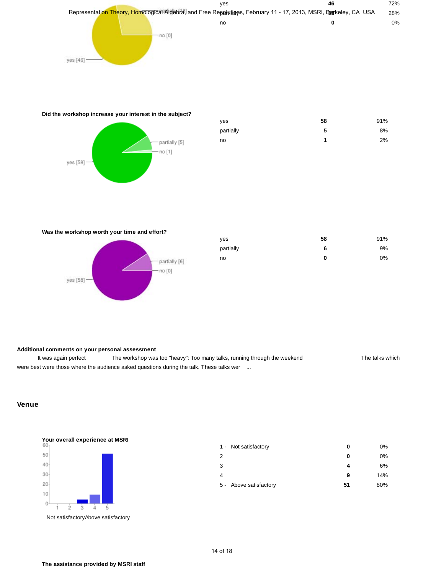

#### **Did the workshop increase your interest in the subject?**



| ves       | 58 | 91% |
|-----------|----|-----|
| partially | 5  | 8%  |
| no        |    | 2%  |

#### **Was the workshop worth your time and effort?**



| ves       | 58 | 91% |
|-----------|----|-----|
| partially | 6  | 9%  |
| no        | 0  | 0%  |

#### **Additional comments on your personal assessment**

It was again perfect The workshop was too "heavy": Too many talks, running through the weekend The talks which were best were those where the audience asked questions during the talk. These talks wer ...

#### **Venue**



| 1 - Not satisfactory   | 0  | 0%  |
|------------------------|----|-----|
| 2                      | 0  | 0%  |
| 3                      | 4  | 6%  |
| 4                      | 9  | 14% |
| 5 - Above satisfactory | 51 | 80% |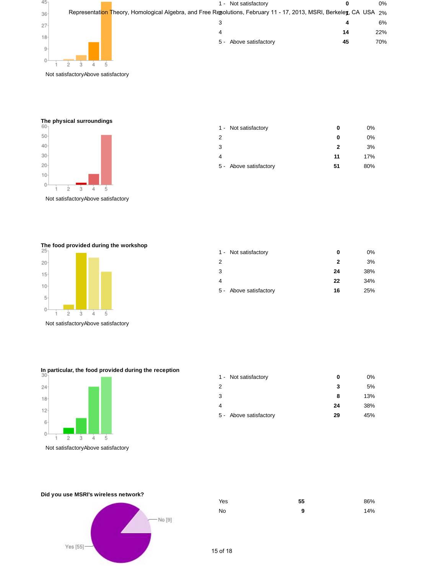

Not satisfactoryAbove satisfactory

**The physical surroundings**



Not satisfactoryAbove satisfactory

1 - Not satisfactory **0** 0% 2 **0** 0% 3 **2** 3% 4 **11** 17% 5 - Above satisfactory **51** 80%

**The food provided during the workshop**



Not satisfactoryAbove satisfactory

| 1 - Not satisfactory   | 0  | 0%  |
|------------------------|----|-----|
| 2                      | 2  | 3%  |
| 3                      | 24 | 38% |
|                        | 22 | 34% |
| 5 - Above satisfactory | 16 | 25% |

**In particular, the food provided during the reception**



| 1 - Not satisfactory   | 0  | 0%  |
|------------------------|----|-----|
| 2                      | 3  | 5%  |
| 3                      | 8  | 13% |
| 4                      | 24 | 38% |
| 5 - Above satisfactory | 29 | 45% |



| Yes | 55 | 86% |
|-----|----|-----|
| No. | 9  | 14% |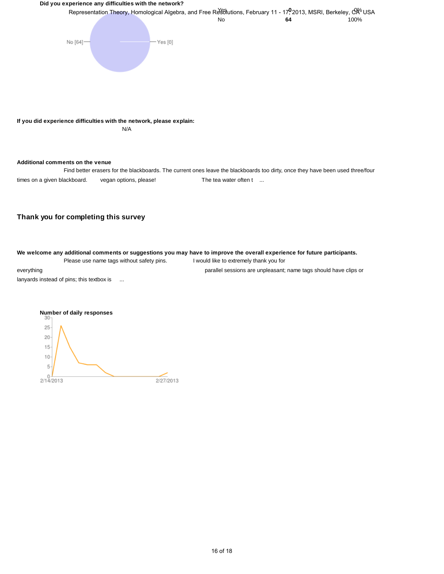#### **Did you experience any difficulties with the network?**



#### **Additional comments on the venue**

Find better erasers for the blackboards. The current ones leave the blackboards too dirty, once they have been used three/four times on a given blackboard. vegan options, please! The tea water often t ...

#### **Thank you for completing this survey**

**We welcome any additional comments or suggestions you may have to improve the overall experience for future participants.** Please use name tags without safety pins. I would like to extremely thank you for

everything parallel sessions are unpleasant; name tags should have clips or

lanyards instead of pins; this textbox is ...

#### **Number of daily responses**

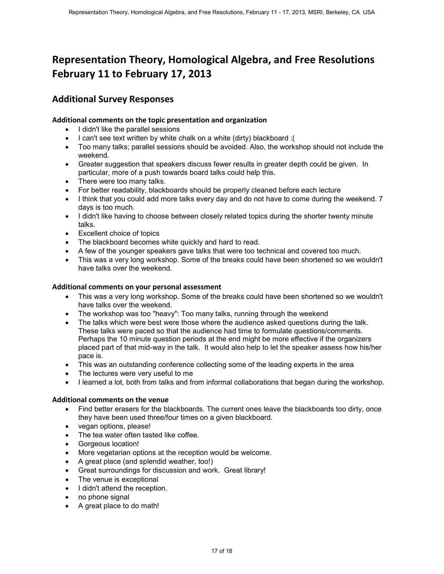## **Representation Theory, Homological Algebra, and Free Resolutions February 11 to February 17, 2013**

#### **Additional Survey Responses**

#### **Additional comments on the topic presentation and organization**

- I didn't like the parallel sessions
- I can't see text written by white chalk on a white (dirty) blackboard :(
- Too many talks; parallel sessions should be avoided. Also, the workshop should not include the weekend.
- Greater suggestion that speakers discuss fewer results in greater depth could be given. In particular, more of a push towards board talks could help this.
- There were too many talks.
- For better readability, blackboards should be properly cleaned before each lecture
- I think that you could add more talks every day and do not have to come during the weekend. 7 days is too much.
- I didn't like having to choose between closely related topics during the shorter twenty minute talks.
- Excellent choice of topics
- The blackboard becomes white quickly and hard to read.
- A few of the younger speakers gave talks that were too technical and covered too much.
- This was a very long workshop. Some of the breaks could have been shortened so we wouldn't have talks over the weekend.

#### **Additional comments on your personal assessment**

- This was a very long workshop. Some of the breaks could have been shortened so we wouldn't have talks over the weekend.
- The workshop was too "heavy": Too many talks, running through the weekend
- The talks which were best were those where the audience asked questions during the talk. These talks were paced so that the audience had time to formulate questions/comments. Perhaps the 10 minute question periods at the end might be more effective if the organizers placed part of that mid-way in the talk. It would also help to let the speaker assess how his/her pace is. Representation Theory, Homological Algebra, and Free Resolutions<br>
17 of 18 Representation Theory, Homological Algebra, and Free Resolutions<br>
17 of 18 Berlin 17, 2013<br>
17 of 18 Berlin 18 Systems chain on a cognization<br>
18 C
- This was an outstanding conference collecting some of the leading experts in the area
- The lectures were very useful to me
- I learned a lot, both from talks and from informal collaborations that began during the workshop.

#### **Additional comments on the venue**

- Find better erasers for the blackboards. The current ones leave the blackboards too dirty, once they have been used three/four times on a given blackboard.
- vegan options, please!
- The tea water often tasted like coffee.
- Gorgeous location!
- More vegetarian options at the reception would be welcome.
- A great place (and splendid weather, too!)
- Great surroundings for discussion and work. Great library!
- The venue is exceptional
- I didn't attend the reception.
- no phone signal
- A great place to do math!